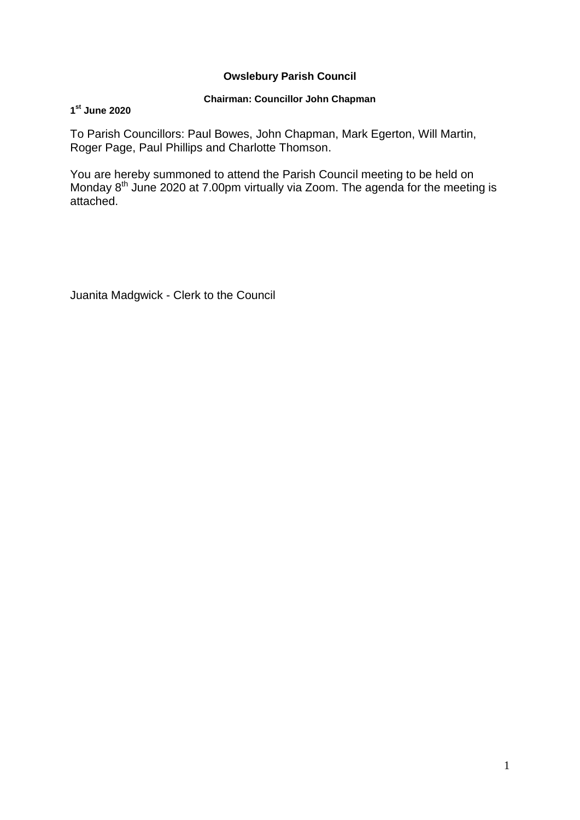## **Owslebury Parish Council**

## **Chairman: Councillor John Chapman**

## **1 st June 2020**

To Parish Councillors: Paul Bowes, John Chapman, Mark Egerton, Will Martin, Roger Page, Paul Phillips and Charlotte Thomson.

You are hereby summoned to attend the Parish Council meeting to be held on Monday 8<sup>th</sup> June 2020 at 7.00pm virtually via Zoom. The agenda for the meeting is attached.

Juanita Madgwick - Clerk to the Council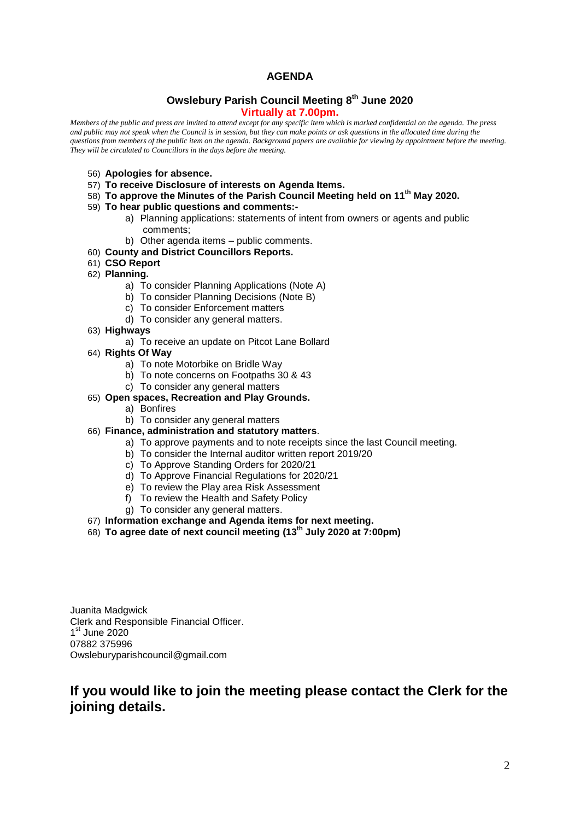## **AGENDA**

#### **Owslebury Parish Council Meeting 8 th June 2020 Virtually at 7.00pm.**

*Members of the public and press are invited to attend except for any specific item which is marked confidential on the agenda. The press and public may not speak when the Council is in session, but they can make points or ask questions in the allocated time during the questions from members of the public item on the agenda. Background papers are available for viewing by appointment before the meeting. They will be circulated to Councillors in the days before the meeting.* 

- 56) **Apologies for absence.**
- 57) **To receive Disclosure of interests on Agenda Items.**
- 58) **To approve the Minutes of the Parish Council Meeting held on 11th May 2020.**
- 59) **To hear public questions and comments:**
	- a) Planning applications: statements of intent from owners or agents and public comments;
	- b) Other agenda items public comments.
- 60) **County and District Councillors Reports.**
- 61) **CSO Report**
- 62) **Planning.** 
	- a) To consider Planning Applications (Note A)
	- b) To consider Planning Decisions (Note B)
	- c) To consider Enforcement matters
	- d) To consider any general matters.
- 63) **Highways**
	- a) To receive an update on Pitcot Lane Bollard
- 64) **Rights Of Way**
	- a) To note Motorbike on Bridle Way
	- b) To note concerns on Footpaths 30 & 43
	- c) To consider any general matters
- 65) **Open spaces, Recreation and Play Grounds.**
	- a) Bonfires
	- b) To consider any general matters
- 66) **Finance, administration and statutory matters**.
	- a) To approve payments and to note receipts since the last Council meeting.
	- b) To consider the Internal auditor written report 2019/20
	- c) To Approve Standing Orders for 2020/21
	- d) To Approve Financial Regulations for 2020/21
	- e) To review the Play area Risk Assessment
	- f) To review the Health and Safety Policy
	- g) To consider any general matters.
- 67) **Information exchange and Agenda items for next meeting.**
- 68) **To agree date of next council meeting (13th July 2020 at 7:00pm)**

Juanita Madgwick Clerk and Responsible Financial Officer. 1<sup>st</sup> June 2020 07882 375996 Owsleburyparishcouncil@gmail.com

# **If you would like to join the meeting please contact the Clerk for the joining details.**